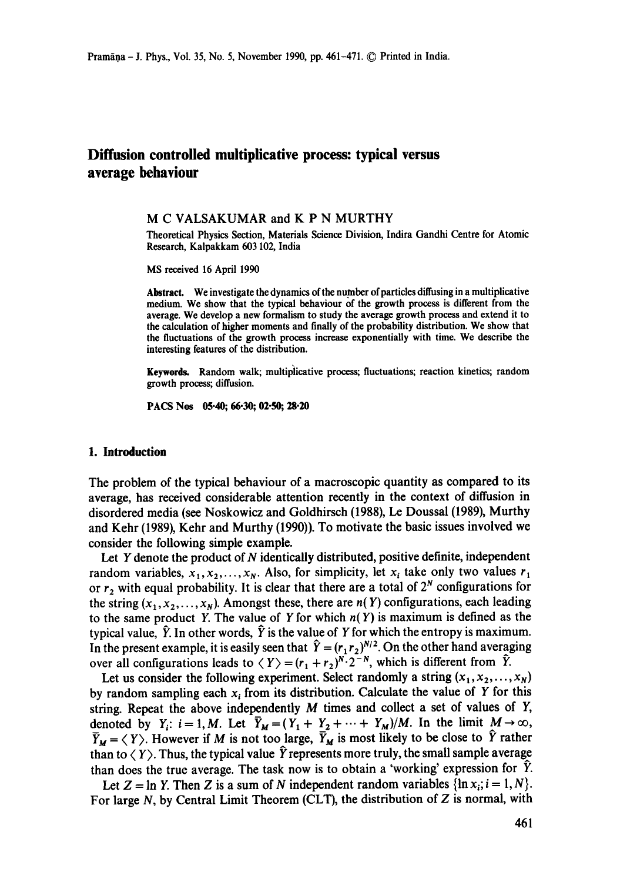# **Diffusion controlled muitiplicative process: typical versus average behaviour**

#### **M C** VALSAKUMAR and **K P N** MURTHY

Theoretical Physics Section, Materials Science Division, Indira Gandhi Centre for Atomic Research, Kalpakkam 603 102, India

MS received 16 April 1990

Abstract. We investigate the dynamics of the number of particles diffusing in a multiplicative medium. We show that the typical behaviour of the growth process is different from the average. We develop a new formalism to study the average growth process and extend it to the calculation of higher moments and finally of the probability distribution. We show that the fluctuations of the growth process increase exponentially with time. We describe the interesting features of the distribution.

Keywords. Random walk; multiplicative process; fluctuations; reaction kinetics; random growth process; diffusion.

PACS Nos 05.40; 66.30; 02.50; 28.20

## **1. Introduction**

The problem of the typical behaviour of a macroscopic quantity as compared to its average, has received considerable attention recently in the context of diffusion in disordered media (see Noskowicz and Goldhirsch (1988), Le Doussal (1989), Murthy and Kehr (1989), Kehr and Murthy (1990)). To motivate the basic issues involved we consider the following simple example.

Let  $Y$  denote the product of  $N$  identically distributed, positive definite, independent random variables,  $x_1, x_2, ..., x_N$ . Also, for simplicity, let  $x_i$  take only two values  $r_1$ or  $r_2$  with equal probability. It is clear that there are a total of  $2^N$  configurations for the string  $(x_1, x_2,..., x_N)$ . Amongst these, there are  $n(Y)$  configurations, each leading to the same product Y. The value of Y for which  $n(Y)$  is maximum is defined as the typical value,  $\hat{Y}$ . In other words,  $\hat{Y}$  is the value of Y for which the entropy is maximum. In the present example, it is easily seen that  $\hat{Y} = (r_1 r_2)^{N/2}$ . On the other hand averaging over all configurations leads to  $\langle Y \rangle = (r_1 + r_2)^{N} \cdot 2^{-N}$ , which is different from  $\hat{Y}$ .

Let us consider the following experiment. Select randomly a string  $(x_1, x_2, \ldots, x_N)$ by random sampling each  $x_i$  from its distribution. Calculate the value of Y for this string. Repeat the above independently M times and collect a set of values of Y, denoted by  $Y_i$ :  $i=1, M$ . Let  $\overline{Y}_M = (Y_1 + Y_2 + \cdots + Y_M)/M$ . In the limit  $M \to \infty$ ,  $\overline{Y}_M = \langle Y \rangle$ . However if M is not too large,  $\overline{Y}_M$  is most likely to be close to  $\hat{Y}$  rather than to  $\langle Y \rangle$ . Thus, the typical value  $\hat{Y}$  represents more truly, the small sample average than does the true average. The task now is to obtain a 'working' expression for  $\hat{Y}$ .

Let  $Z = \ln Y$ . Then Z is a sum of N independent random variables  $\{\ln x_i; i = 1, N\}$ . For large  $N$ , by Central Limit Theorem (CLT), the distribution of  $Z$  is normal, with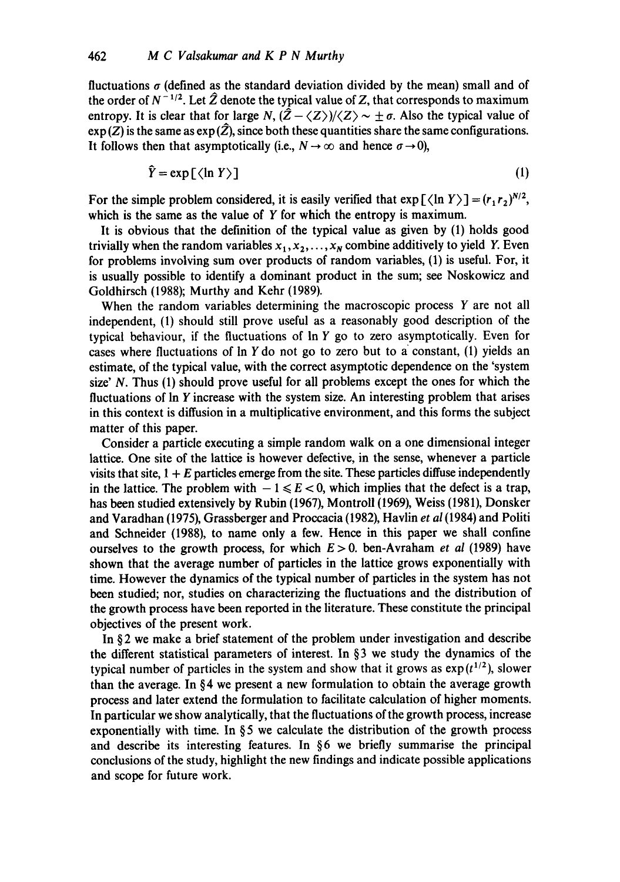fluctuations  $\sigma$  (defined as the standard deviation divided by the mean) small and of the order of  $N^{-1/2}$ . Let  $\hat{Z}$  denote the typical value of Z, that corresponds to maximum entropy. It is clear that for large *N*,  $(\hat{Z} - \langle Z \rangle)/\langle Z \rangle \sim \pm \sigma$ . Also the typical value of  $\exp(Z)$  is the same as  $\exp(\hat{Z})$ , since both these quantities share the same configurations. It follows then that asymptotically (i.e.,  $N \to \infty$  and hence  $\sigma \to 0$ ),

$$
\hat{Y} = \exp\left[\langle \ln Y \rangle\right] \tag{1}
$$

For the simple problem considered, it is easily verified that  $\exp\left[\langle\ln Y\rangle\right] = (r_1 r_2)^{N/2}$ , which is the same as the value of Y for which the entropy is maximum.

It is obvious that the definition of the typical value as given by (1) holds good trivially when the random variables  $x_1, x_2, \ldots, x_N$  combine additively to yield Y. Even for problems involving sum over products of random variables, (1) is useful. For, it is usually possible to identify a dominant product in the sum; see Noskowicz and Goldhirsch (1988); Murthy and Kehr (1989).

When the random variables determining the macroscopic process Y are not all independent, (1) should still prove useful as a reasonably good description of the typical behaviour, if the fluctuations of In Y go to zero asymptotically. Even for cases where fluctuations of  $\ln Y$  do not go to zero but to a constant, (1) yields an estimate, of the typical value, with the correct asymptotic dependence on the 'system size' N. Thus (1) should prove useful for all problems except the ones for which the fluctuations of In Y increase with the system size. An interesting problem that arises in this context is diffusion in a multiplicative environment, and this forms the subject matter of this paper.

Consider a particle executing a simple random walk on a one dimensional integer lattice. One site of the lattice is however defective, in the sense, whenever a particle visits that site,  $1 + E$  particles emerge from the site. These particles diffuse independently in the lattice. The problem with  $-1 \le E < 0$ , which implies that the defect is a trap, has been studied extensively by Rubin (1967), Montroll (1969), Weiss (1981), Donsker and Varadhan (1975), Grassberger and Proccacia (1982), Havlin *et al* (1984) and Politi and Schneider (1988), to name only a few. Hence in this paper we shall confine ourselves to the growth process, for which  $E > 0$ , ben-Avraham *et al* (1989) have shown that the average number of particles in the lattice grows exponentially with time. However the dynamics of the typical number of particles in the system has not been studied; nor, studies on characterizing the fluctuations and the distribution of the growth process have been reported in the literature. These constitute the principal objectives of the present work.

In  $\S$ 2 we make a brief statement of the problem under investigation and describe the different statistical parameters of interest. In § 3 we study the dynamics of the typical number of particles in the system and show that it grows as  $exp(t^{1/2})$ , slower than the average. In  $\S 4$  we present a new formulation to obtain the average growth process and later extend the formulation to facilitate calculation of higher moments. In particular we show analytically, that the fluctuations of the growth process, increase exponentially with time. In  $\S$ 5 we calculate the distribution of the growth process and describe its interesting features. In  $§6$  we briefly summarise the principal conclusions of the study, highlight the new findings and indicate possible applications and scope for future work.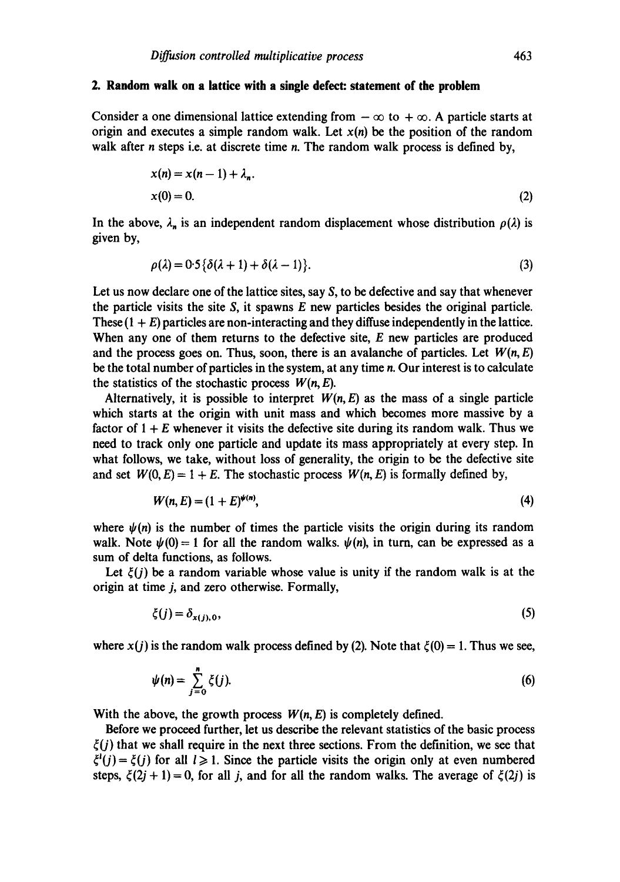#### **2. Random walk on a lattice with a single defect: statement of the problem**

Consider a one dimensional lattice extending from  $-\infty$  to  $+\infty$ . A particle starts at origin and executes a simple random walk. Let *x(n) be* the position of the random walk after *n* steps i.e. at discrete time *n*. The random walk process is defined by,

$$
x(n) = x(n-1) + \lambda_n.
$$
  
\n
$$
x(0) = 0.
$$
\n(2)

In the above,  $\lambda_n$  is an independent random displacement whose distribution  $\rho(\lambda)$  is given by,

$$
\rho(\lambda) = 0.5\{\delta(\lambda + 1) + \delta(\lambda - 1)\}.
$$
\n(3)

Let us now declare one of the lattice sites, say S, to be defective and say that whenever the particle visits the site  $S$ , it spawns  $E$  new particles besides the original particle. These  $(1 + E)$  particles are non-interacting and they diffuse independently in the lattice. When any one of them returns to the defective site, E new particles are produced and the process goes on. Thus, soon, there is an avalanche of particles. Let  $W(n, E)$ be the total number of particles in the system, at any time n. Our interest is to calculate the statistics of the stochastic process  $W(n, E)$ .

Alternatively, it is possible to interpret  $W(n, E)$  as the mass of a single particle which starts at the origin with unit mass and which becomes more massive by a factor of  $1 + E$  whenever it visits the defective site during its random walk. Thus we need to track only one particle and update its mass appropriately at every step. In what follows, we take, without loss of generality, the origin to be the defective site and set  $W(0, E) = 1 + E$ . The stochastic process  $W(n, E)$  is formally defined by,

$$
W(n, E) = (1 + E)^{\psi(n)},\tag{4}
$$

where  $\psi(n)$  is the number of times the particle visits the origin during its random walk. Note  $\psi(0) = 1$  for all the random walks.  $\psi(n)$ , in turn, can be expressed as a sum of delta functions, as follows.

Let  $\xi(i)$  be a random variable whose value is unity if the random walk is at the origin at time j, and zero otherwise. Formally,

$$
\xi(j) = \delta_{x(j),0},\tag{5}
$$

where  $x(j)$  is the random walk process defined by (2). Note that  $\xi(0) = 1$ . Thus we see,

$$
\psi(n) = \sum_{j=0}^{n} \xi(j). \tag{6}
$$

With the above, the growth process  $W(n, E)$  is completely defined.

Before we proceed further, let us describe the relevant statistics of the basic process  $\xi(j)$  that we shall require in the next three sections. From the definition, we see that  $\xi^{i}(j) = \xi(j)$  for all  $l \ge 1$ . Since the particle visits the origin only at even numbered steps,  $\xi(2j + 1) = 0$ , for all j, and for all the random walks. The average of  $\xi(2j)$  is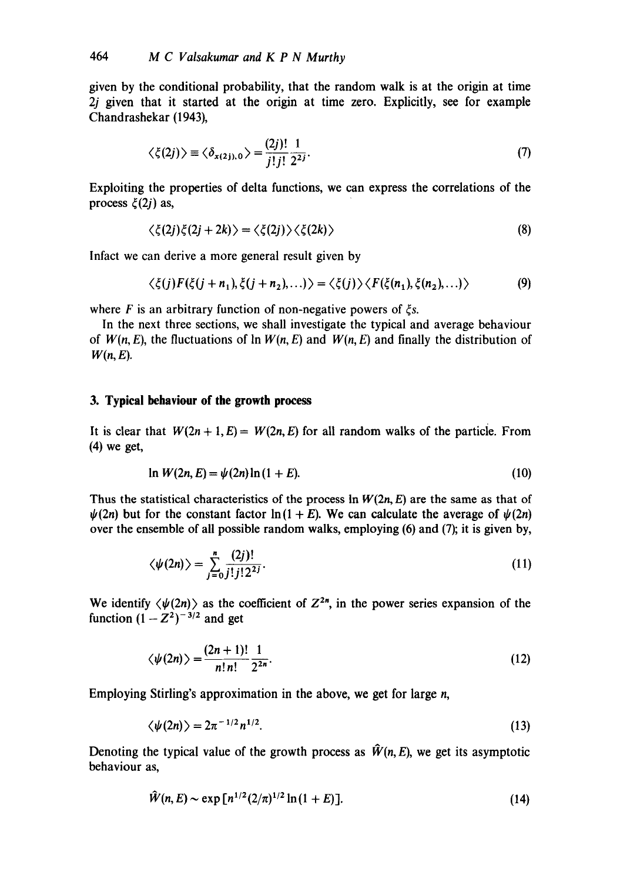given by the conditional probability, that the random walk is at the origin at time 2j given that it started at the origin at time zero. Explicitly, see for example Chandrashekar (1943),

$$
\langle \xi(2j) \rangle \equiv \langle \delta_{x(2j),0} \rangle = \frac{(2j)!}{j!j!} \frac{1}{2^{2j}}.
$$
 (7)

Exploiting the properties of delta functions, we can express the correlations of the process  $\xi(2j)$  as,

$$
\langle \xi(2j)\xi(2j+2k)\rangle = \langle \xi(2j)\rangle \langle \xi(2k)\rangle
$$
\n(8)

Infact we can derive a more general result given by

$$
\langle \xi(j) F(\xi(j+n_1), \xi(j+n_2), \ldots) \rangle = \langle \xi(j) \rangle \langle F(\xi(n_1), \xi(n_2), \ldots) \rangle \tag{9}
$$

where F is an arbitrary function of non-negative powers of  $\xi s$ .

In the next three sections, we shall investigate the typical and average behaviour of  $W(n, E)$ , the fluctuations of  $\ln W(n, E)$  and  $W(n, E)$  and finally the distribution of  $W(n, E)$ .

## **3. Typical behaviour of the growth process**

It is clear that  $W(2n + 1, E) = W(2n, E)$  for all random walks of the particle. From (4) we get,

$$
\ln W(2n, E) = \psi(2n) \ln (1 + E). \tag{10}
$$

Thus the statistical characteristics of the process  $\ln W(2n, E)$  are the same as that of  $\psi(2n)$  but for the constant factor  $\ln(1 + E)$ . We can calculate the average of  $\psi(2n)$ over the ensemble of all possible random walks, employing (6) and (7); it is given by,

$$
\langle \psi(2n) \rangle = \sum_{j=0}^{n} \frac{(2j)!}{j! \, j! \, 2^{2j}}.
$$
 (11)

We identify  $\langle \psi(2n) \rangle$  as the coefficient of  $Z^{2n}$ , in the power series expansion of the function  $(1 - Z<sup>2</sup>)<sup>-3/2</sup>$  and get

$$
\langle \psi(2n) \rangle = \frac{(2n+1)!}{n!n!} \frac{1}{2^{2n}}.
$$
 (12)

Employing Stirling's approximation in the above, we get for large n,

$$
\langle \psi(2n) \rangle = 2\pi^{-1/2} n^{1/2}.
$$

Denoting the typical value of the growth process as  $\hat{W}(n, E)$ , we get its asymptotic behaviour as,

$$
\hat{W}(n, E) \sim \exp\left[n^{1/2} (2/\pi)^{1/2} \ln(1+E)\right].
$$
\n(14)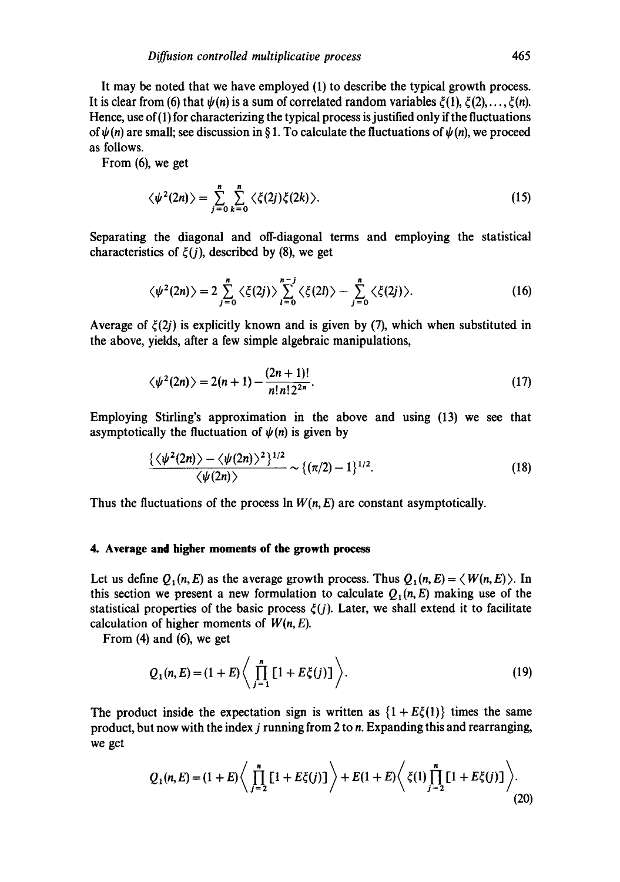It may be noted that we have employed (1) to describe the typical growth process. It is clear from (6) that  $\psi(n)$  is a sum of correlated random variables  $\xi(1)$ ,  $\xi(2)$ ,...,  $\xi(n)$ . Hence, use of (1) for characterizing the typical process is justified only if the fluctuations of  $\psi(n)$  are small; see discussion in § 1. To calculate the fluctuations of  $\psi(n)$ , we proceed as follows.

From (6), we get

$$
\langle \psi^2(2n) \rangle = \sum_{j=0}^n \sum_{k=0}^n \langle \xi(2j)\xi(2k) \rangle.
$$
 (15)

Separating the diagonal and off-diagonal terms and employing the statistical characteristics of  $\xi(i)$ , described by (8), we get

$$
\langle \psi^2(2n) \rangle = 2 \sum_{j=0}^n \langle \xi(2j) \rangle \sum_{l=0}^{n-j} \langle \xi(2l) \rangle - \sum_{j=0}^n \langle \xi(2j) \rangle. \tag{16}
$$

Average of  $\xi(2j)$  is explicitly known and is given by (7), which when substituted in the above, yields, after a few simple algebraic manipulations,

$$
\langle \psi^2(2n) \rangle = 2(n+1) - \frac{(2n+1)!}{n!n!2^{2n}}.\tag{17}
$$

Employing Stirling's approximation in the above and using (13) we see that asymptotically the fluctuation of  $\psi(n)$  is given by

$$
\frac{\{\langle \psi^2(2n) \rangle - \langle \psi(2n) \rangle^2 \}^{1/2}}{\langle \psi(2n) \rangle} \sim \{(\pi/2) - 1\}^{1/2}.
$$
 (18)

Thus the fluctuations of the process In *W(n, E)* are constant asymptotically.

## **4. Average and higher moments of the growth process**

Let us define  $Q_1(n, E)$  as the average growth process. Thus  $Q_1(n, E) = \langle W(n, E) \rangle$ . In this section we present a new formulation to calculate  $Q_1(n, E)$  making use of the statistical properties of the basic process  $\xi(j)$ . Later, we shall extend it to facilitate calculation of higher moments of *W(n, E).* 

From (4) and (6), we get

$$
Q_1(n, E) = (1 + E) \left\langle \prod_{j=1}^n [1 + E\xi(j)] \right\rangle.
$$
 (19)

The product inside the expectation sign is written as  $\{1 + E\xi(1)\}\)$  times the same product, but now with the index  $j$  running from 2 to  $n$ . Expanding this and rearranging, we get

$$
Q_1(n,E) = (1+E)\left\langle \prod_{j=2}^n [1+E\xi(j)] \right\rangle + E(1+E)\left\langle \xi(1) \prod_{j=2}^n [1+E\xi(j)] \right\rangle.
$$
\n(20)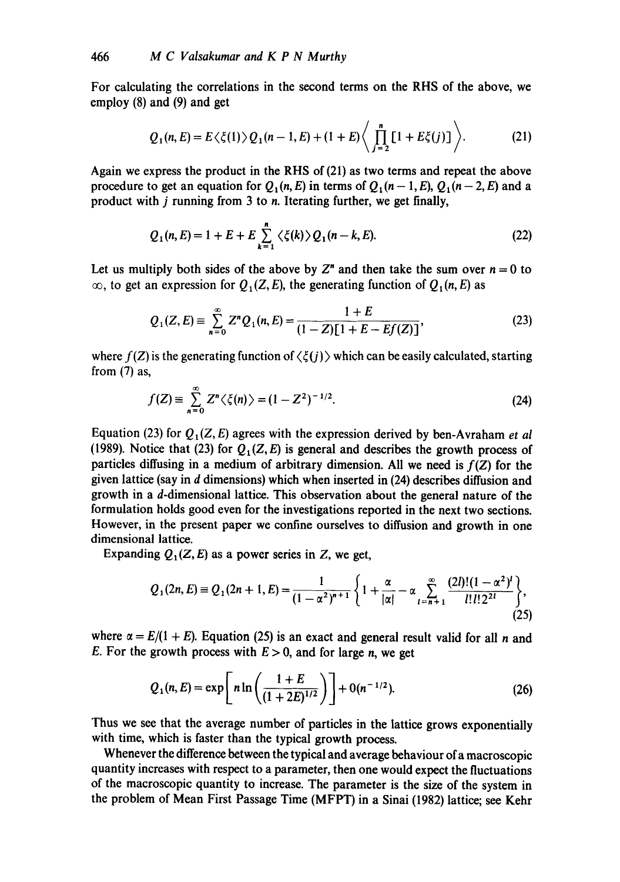For calculating the correlations in the second terms on the RHS of the above, we employ (8) and (9) and get

$$
Q_1(n, E) = E\langle \xi(1) \rangle Q_1(n-1, E) + (1+E) \left\langle \prod_{j=2}^n [1 + E\xi(j)] \right\rangle.
$$
 (21)

Again we express the product in the RHS of (21) as two terms and repeat the above procedure to get an equation for  $Q_1(n, E)$  in terms of  $Q_1(n-1, E), Q_1(n-2, E)$  and a product with j running from 3 to n. Iterating further, we get finally,

$$
Q_1(n, E) = 1 + E + E \sum_{k=1}^{n} \langle \xi(k) \rangle Q_1(n - k, E). \tag{22}
$$

Let us multiply both sides of the above by  $Z<sup>n</sup>$  and then take the sum over  $n = 0$  to  $\infty$ , to get an expression for  $Q_1(Z, E)$ , the generating function of  $Q_1(n, E)$  as

$$
Q_1(Z,E) \equiv \sum_{n=0}^{\infty} Z^n Q_1(n,E) = \frac{1+E}{(1-Z)[1+E-Ef(Z)]},
$$
\n(23)

where  $f(Z)$  is the generating function of  $\langle \xi(j) \rangle$  which can be easily calculated, starting from (7) as,

$$
f(Z) = \sum_{n=0}^{\infty} Z^n \langle \xi(n) \rangle = (1 - Z^2)^{-1/2}.
$$
 (24)

Equation (23) for  $Q_1(Z, E)$  agrees with the expression derived by ben-Avraham *et al* (1989). Notice that (23) for  $Q_1(Z, E)$  is general and describes the growth process of particles diffusing in a medium of arbitrary dimension. All we need is *f(Z)* for the given lattice (say in d dimensions) which when inserted in (24) describes diffusion and growth in a d-dimensional lattice. This observation about the general nature of the formulation holds good even for the investigations reported in the next two sections. However, in the present paper we confine ourselves to diffusion and growth in one dimensional lattice.

Expanding  $Q_1(Z, E)$  as a power series in Z, we get,

$$
Q_1(2n, E) \equiv Q_1(2n+1, E) = \frac{1}{(1 - \alpha^2)^{n+1}} \left\{ 1 + \frac{\alpha}{|\alpha|} - \alpha \sum_{l=n+1}^{\infty} \frac{(2l)!(1 - \alpha^2)^l}{l!l!2^{2l}} \right\},\tag{25}
$$

where  $\alpha = E/(1 + E)$ . Equation (25) is an exact and general result valid for all *n* and E. For the growth process with  $E > 0$ , and for large n, we get

$$
Q_1(n, E) = \exp\left[n \ln\left(\frac{1+E}{(1+2E)^{1/2}}\right)\right] + O(n^{-1/2}).
$$
 (26)

Thus we see that the average number of particles in the lattice grows exponentially with time, which is faster than the typical growth process.

Whenever the difference between the typical and average behaviour of a macroscopic quantity increases with respect to a parameter, then one would expect the fluctuations of the macroscopic quantity to increase. The parameter is the size of the system in the problem of Mean First Passage Time (MFPT) in a Sinai (1982) lattice; see Kehr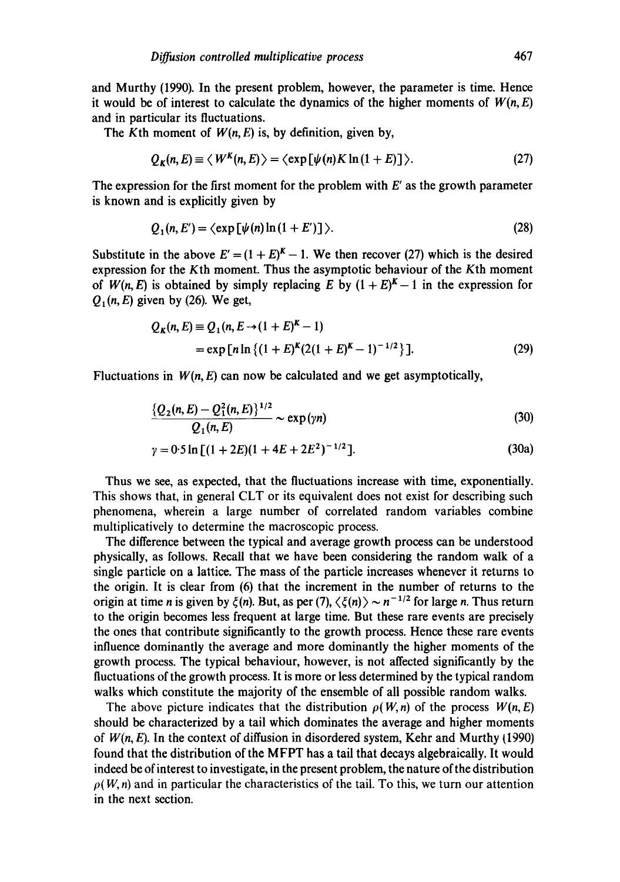and Murthy (1990). In the present problem, however, the parameter is time. Hence it would be of interest to calculate the dynamics of the higher moments of  $W(n, E)$ and in particular its fluctuations.

The Kth moment of  $W(n, E)$  is, by definition, given by,

$$
Q_K(n, E) \equiv \langle W^K(n, E) \rangle = \langle \exp[\psi(n)K\ln(1+E)] \rangle. \tag{27}
$$

The expression for the first moment for the problem with  $E'$  as the growth parameter is known and is explicitly given by

$$
Q_1(n, E') = \langle \exp\left[\psi(n)\ln\left(1 + E'\right)\right]\rangle. \tag{28}
$$

Substitute in the above  $E' = (1 + E)^{K} - 1$ . We then recover (27) which is the desired expression for the Kth moment. Thus the asymptotic behaviour of the Kth moment of  $W(n, E)$  is obtained by simply replacing E by  $(1 + E)^{K} - 1$  in the expression for *Q<sub>1</sub>(n, E)* given by (26). We get,

$$
Q_K(n, E) \equiv Q_1(n, E \rightarrow (1 + E)^K - 1)
$$
  
= exp [n ln { (1 + E)<sup>K</sup> (2(1 + E)<sup>K</sup> - 1) <sup>-1/2</sup> }]. (29)

Fluctuations in  $W(n, E)$  can now be calculated and we get asymptotically,

$$
\frac{\{Q_2(n,E) - Q_1^2(n,E)\}^{1/2}}{Q_1(n,E)} \sim \exp(\gamma n) \tag{30}
$$

$$
\gamma = 0.5 \ln \left[ (1 + 2E)(1 + 4E + 2E^2)^{-1/2} \right].
$$
 (30a)

Thus we see, as expected, that the fluctuations increase with time, exponentially. This shows that, in general CLT or its equivalent does not exist for describing such phenomena, wherein a large number of correlated random variables combine multiplicatively to determine the macroscopic process.

The difference between the typical and average growth process can be understood physically, as follows. Recall that we have been considering the random walk of a single particle on a lattice. The mass of the particle increases whenever it returns to the origin. It is clear from (6) that the increment in the number of returns to the origin at time *n* is given by  $\xi(n)$ . But, as per (7),  $\langle \xi(n) \rangle \sim n^{-1/2}$  for large *n*. Thus return to the origin becomes less frequent at large time. But these rare events are precisely the ones that contribute significantly to the growth process. Hence these rare events influence dominantly the average and more dominantly the higher moments of the growth process. The typical behaviour, however, is not affected significantly by the fluctuations of the growth process. It is more or less determined by the typical random walks which constitute the majority of the ensemble of all possible random walks.

The above picture indicates that the distribution  $\rho(W, n)$  of the process  $W(n, E)$ should be characterized by a tail which dominates the average and higher moments of  $W(n, E)$ . In the context of diffusion in disordered system, Kehr and Murthy  $(1990)$ found that the distribution of the MFPT has a tail that decays algebraically. It would indeed be of interest to investigate, in the present problem, the nature of the distribution  $\rho(W, n)$  and in particular the characteristics of the tail. To this, we turn our attention in the next section.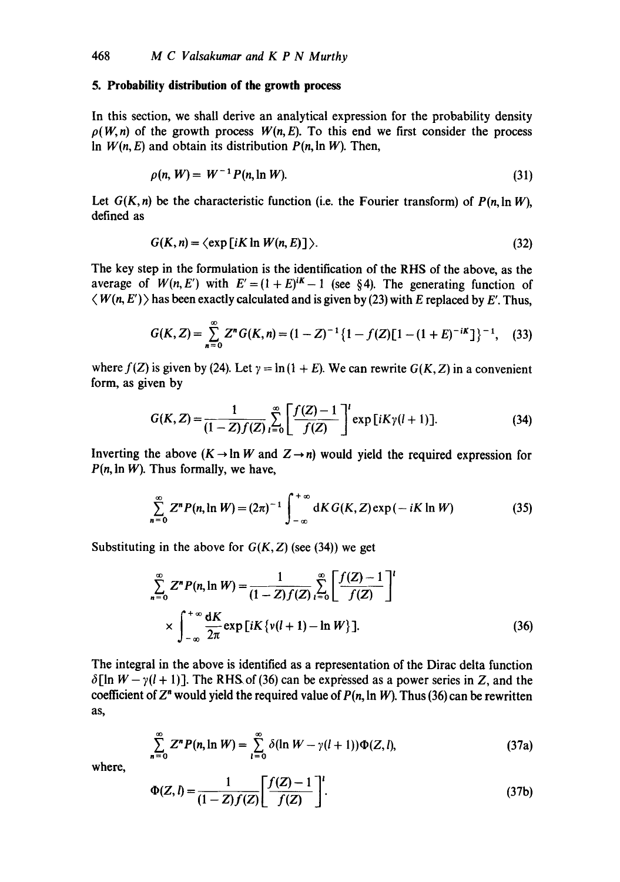# **5. Probability distribution of the growth process**

In this section, we shall derive an analytical expression for the probability density  $p(W, n)$  of the growth process  $W(n, E)$ . To this end we first consider the process In  $W(n, E)$  and obtain its distribution  $P(n, \ln W)$ . Then,

$$
\rho(n, W) = W^{-1} P(n, \ln W). \tag{31}
$$

Let  $G(K, n)$  be the characteristic function (i.e. the Fourier transform) of  $P(n, \ln W)$ , defined as

$$
G(K,n) = \langle \exp[iK \ln W(n,E)] \rangle. \tag{32}
$$

The key step in the formulation is the identification of the RHS of the above, as the average of  $W(n, E')$  with  $E' = (1 + E)^{iK} - 1$  (see §4). The generating function of  $\langle W(n, E') \rangle$  has been exactly calculated and is given by (23) with E replaced by E'. Thus,

$$
G(K,Z) = \sum_{n=0}^{\infty} Z^n G(K,n) = (1-Z)^{-1} \{1 - f(Z)[1 - (1+E)^{-iK}]\}^{-1},
$$
 (33)

where  $f(Z)$  is given by (24). Let  $\gamma = \ln(1 + E)$ . We can rewrite  $G(K, Z)$  in a convenient form, as given by

$$
G(K, Z) = \frac{1}{(1 - Z)f(Z)} \sum_{l=0}^{\infty} \left[ \frac{f(Z) - 1}{f(Z)} \right]^l \exp[iK\gamma(l+1)].
$$
 (34)

Inverting the above  $(K \rightarrow \ln W$  and  $Z \rightarrow n)$  would yield the required expression for  $P(n, \ln W)$ . Thus formally, we have,

$$
\sum_{n=0}^{\infty} Z^n P(n, \ln W) = (2\pi)^{-1} \int_{-\infty}^{+\infty} dK G(K, Z) \exp(-iK \ln W) \tag{35}
$$

Substituting in the above for  $G(K, Z)$  (see (34)) we get

$$
\sum_{n=0}^{\infty} Z^n P(n, \ln W) = \frac{1}{(1 - Z)f(Z)} \sum_{l=0}^{\infty} \left[ \frac{f(Z) - 1}{f(Z)} \right]^l
$$
  
 
$$
\times \int_{-\infty}^{+\infty} \frac{dK}{2\pi} \exp[iK \{v(l+1) - \ln W\}].
$$
 (36)

The integral in the above is identified as a representation of the Dirac delta function  $\delta$ [ln  $W - \gamma$ (1 + 1)]. The RHS of (36) can be expressed as a power series in Z, and the coefficient of  $Z<sup>n</sup>$  would yield the required value of  $P(n, \ln W)$ . Thus (36) can be rewritten as,

$$
\sum_{n=0}^{\infty} Z^n P(n,\ln W) = \sum_{l=0}^{\infty} \delta(\ln W - \gamma(l+1)) \Phi(Z,l), \qquad (37a)
$$

where,

$$
\Phi(Z, l) = \frac{1}{(1 - Z)f(Z)} \left[ \frac{f(Z) - 1}{f(Z)} \right]'
$$
\n(37b)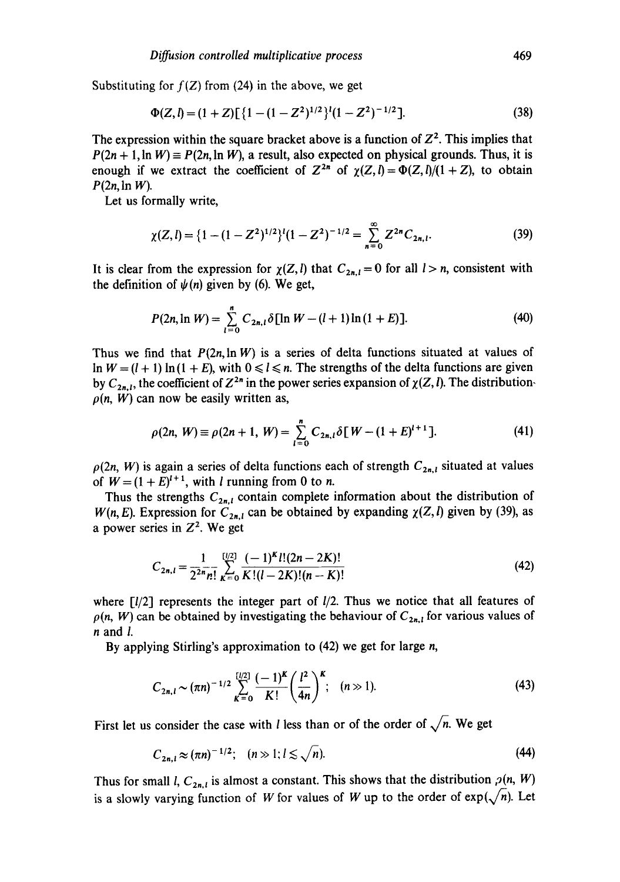Substituting for  $f(Z)$  from (24) in the above, we get

$$
\Phi(Z, l) = (1 + Z) \left[ \{ 1 - (1 - Z^2)^{1/2} \}^l (1 - Z^2)^{-1/2} \right].
$$
\n(38)

The expression within the square bracket above is a function of  $Z^2$ . This implies that  $P(2n + 1, \ln W) \equiv P(2n, \ln W)$ , a result, also expected on physical grounds. Thus, it is enough if we extract the coefficient of  $Z^{2n}$  of  $\gamma(Z, l) = \Phi(Z, l)/(1 + Z)$ , to obtain *P(2n,* In W).

Let us formally write,

$$
\chi(Z,l) = \{1 - (1 - Z^2)^{1/2}\}^l (1 - Z^2)^{-1/2} = \sum_{n=0}^{\infty} Z^{2n} C_{2n,l}.
$$
 (39)

It is clear from the expression for  $\chi(Z, l)$  that  $C_{2n,l} = 0$  for all  $l > n$ , consistent with the definition of  $\psi(n)$  given by (6). We get,

$$
P(2n,\ln W) = \sum_{l=0}^{n} C_{2n,l} \delta[\ln W - (l+1)\ln(1+E)].
$$
 (40)

Thus we find that  $P(2n, \ln W)$  is a series of delta functions situated at values of In  $W = (l + 1) \ln(1 + E)$ , with  $0 \le l \le n$ . The strengths of the delta functions are given by  $C_{2n,l}$ , the coefficient of  $Z^{2n}$  in the power series expansion of  $\chi(Z, l)$ . The distribution- $\rho(n, W)$  can now be easily written as,

$$
\rho(2n, W) \equiv \rho(2n+1, W) = \sum_{i=0}^{n} C_{2n,i} \delta[W - (1 + E)^{i+1}]. \tag{41}
$$

 $\rho(2n, W)$  is again a series of delta functions each of strength  $C_{2n,l}$  situated at values of  $W = (1 + E)^{l+1}$ , with l running from 0 to n.

Thus the strengths  $C_{2n,l}$  contain complete information about the distribution of *W*(n, *E*). Expression for  $C_{2n,l}$  can be obtained by expanding  $\chi(Z, l)$  given by (39), as a power series in  $Z^2$ . We get

$$
C_{2n,l} = \frac{1}{2^{2n}n!} \sum_{K=0}^{[l/2]} \frac{(-1)^K l! (2n-2K)!}{K! (l-2K)! (n-K)!}
$$
(42)

where  $\lceil l/2 \rceil$  represents the integer part of  $l/2$ . Thus we notice that all features of  $\rho(n, W)$  can be obtained by investigating the behaviour of  $C_{2n,i}$  for various values of n and I.

By applying Stirling's approximation to (42) we get for large *n*,

$$
C_{2n, l} \sim (\pi n)^{-1/2} \sum_{K=0}^{\lfloor l/2 \rfloor} \frac{(-1)^K}{K!} \left(\frac{l^2}{4n}\right)^K; \quad (n \gg 1). \tag{43}
$$

First let us consider the case with *l* less than or of the order of  $\sqrt{n}$ . We get

$$
C_{2n,l} \approx (\pi n)^{-1/2}; \quad (n \gg 1; l \lesssim \sqrt{n}). \tag{44}
$$

Thus for small *l*,  $C_{2n,l}$  is almost a constant. This shows that the distribution  $\rho(n, W)$ is a slowly varying function of W for values of W up to the order of  $exp(\sqrt{n})$ . Let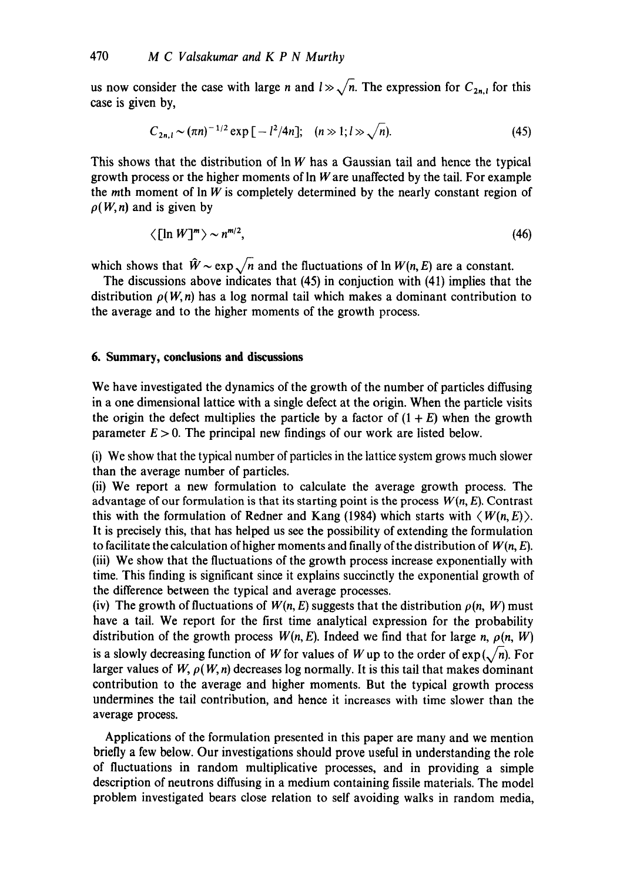us now consider the case with large n and  $l \gg \sqrt{n}$ . The expression for  $C_{2n,l}$  for this case is given by,

$$
C_{2n,1} \sim (\pi n)^{-1/2} \exp\left[-l^2/4n\right]; \quad (n \gg 1; l \gg \sqrt{n}). \tag{45}
$$

This shows that the distribution of  $\ln W$  has a Gaussian tail and hence the typical growth process or the higher moments of  $\ln W$  are unaffected by the tail. For example the  $m$ th moment of  $\ln W$  is completely determined by the nearly constant region of  $\rho(W, n)$  and is given by

$$
\langle \left[ \ln W \right]^m \rangle \sim n^{m/2},\tag{46}
$$

which shows that  $\hat{W} \sim \exp \sqrt{n}$  and the fluctuations of  $\ln W(n, E)$  are a constant.

The discussions above indicates that (45) in conjuction with (41) implies that the distribution  $\rho(W, n)$  has a log normal tail which makes a dominant contribution to the average and to the higher moments of the growth process.

# **6. Summary, conclusions and discussions**

We have investigated the dynamics of the growth of the number of particles diffusing in a one dimensional lattice with a single defect at the origin. When the particle visits the origin the defect multiplies the particle by a factor of  $(1 + E)$  when the growth parameter  $E > 0$ . The principal new findings of our work are listed below.

(i) We show that the typical number of particles in the lattice system grows much slower than the average number of particles.

(ii) We report a new formulation to calculate the average growth process. The advantage of our formulation is that its starting point is the process  $W(n, E)$ . Contrast this with the formulation of Redner and Kang (1984) which starts with  $\langle W(n, E) \rangle$ . It is precisely this, that has helped us see the possibility of extending the formulation to facilitate the calculation of higher moments and finally of the distribution of *W(n, E).*  (iii) We show that the fluctuations of the growth process increase exponentially with time. This finding is significant since it explains succinctly the exponential growth of the difference between the typical and average processes.

(iv) The growth of fluctuations of  $W(n, E)$  suggests that the distribution  $\rho(n, W)$  must have a tail. We report for the first time analytical expression for the probability distribution of the growth process  $W(n, E)$ . Indeed we find that for large *n*,  $\rho(n, W)$ is a slowly decreasing function of W for values of W up to the order of  $exp(\sqrt{n})$ . For larger values of  $W$ ,  $\rho(W, n)$  decreases log normally. It is this tail that makes dominant contribution to the average and higher moments. But the typical growth process undermines the tail contribution, and hence it increases with time slower than the average process.

Applications of the formulation presented in this paper are many and we mention briefly a few below. Our investigations should prove useful in understanding the role of fluctuations in random multiplicative processes, and in providing a simple description of neutrons diffusing in a medium containing fissile materials. The model problem investigated bears close relation to self avoiding walks in random media,